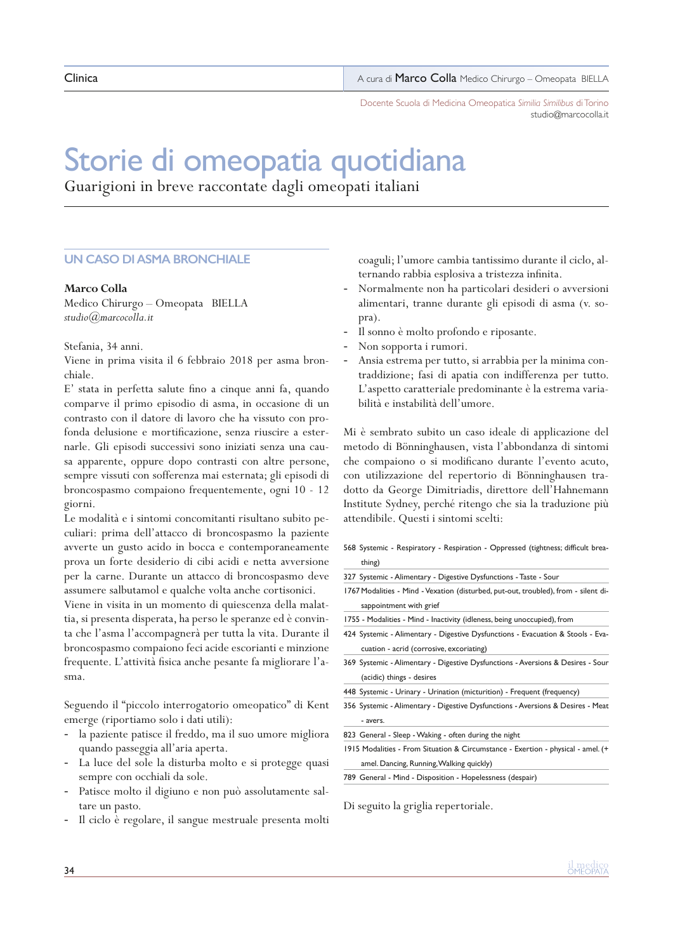Clinica A cura di Marco Colla Medico Chirurgo – Omeopata BIELLA

Docente Scuola di Medicina Omeopatica *Similia Similibus* di Torino studio@marcocolla.it

# Storie di omeopatia quotidiana

Guarigioni in breve raccontate dagli omeopati italiani

## **UN CASO DI ASMA BRONCHIALE**

## **Marco Colla**

Medico Chirurgo – Omeopata BIELLA *studio@marcocolla.it*

### Stefania, 34 anni.

Viene in prima visita il 6 febbraio 2018 per asma bronchiale.

E' stata in perfetta salute fino a cinque anni fa, quando comparve il primo episodio di asma, in occasione di un contrasto con il datore di lavoro che ha vissuto con profonda delusione e mortificazione, senza riuscire a esternarle. Gli episodi successivi sono iniziati senza una causa apparente, oppure dopo contrasti con altre persone, sempre vissuti con sofferenza mai esternata; gli episodi di broncospasmo compaiono frequentemente, ogni 10 - 12 giorni.

Le modalità e i sintomi concomitanti risultano subito peculiari: prima dell'attacco di broncospasmo la paziente avverte un gusto acido in bocca e contemporaneamente prova un forte desiderio di cibi acidi e netta avversione per la carne. Durante un attacco di broncospasmo deve assumere salbutamol e qualche volta anche cortisonici.

Viene in visita in un momento di quiescenza della malattia, si presenta disperata, ha perso le speranze ed è convinta che l'asma l'accompagnerà per tutta la vita. Durante il broncospasmo compaiono feci acide escorianti e minzione frequente. L'attività fisica anche pesante fa migliorare l'asma.

Seguendo il "piccolo interrogatorio omeopatico" di Kent emerge (riportiamo solo i dati utili):

- la paziente patisce il freddo, ma il suo umore migliora quando passeggia all'aria aperta.
- La luce del sole la disturba molto e si protegge quasi sempre con occhiali da sole.
- Patisce molto il digiuno e non può assolutamente saltare un pasto.
- Il ciclo è regolare, il sangue mestruale presenta molti

coaguli; l'umore cambia tantissimo durante il ciclo, alternando rabbia esplosiva a tristezza infinita.

- Normalmente non ha particolari desideri o avversioni alimentari, tranne durante gli episodi di asma (v. sopra).
- Il sonno è molto profondo e riposante.
- Non sopporta i rumori.
- Ansia estrema per tutto, si arrabbia per la minima contraddizione; fasi di apatia con indifferenza per tutto. L'aspetto caratteriale predominante è la estrema variabilità e instabilità dell'umore.

Mi è sembrato subito un caso ideale di applicazione del metodo di Bönninghausen, vista l'abbondanza di sintomi che compaiono o si modificano durante l'evento acuto, con utilizzazione del repertorio di Bönninghausen tradotto da George Dimitriadis, direttore dell'Hahnemann Institute Sydney, perché ritengo che sia la traduzione più attendibile. Questi i sintomi scelti:

568 Systemic - Respiratory - Respiration - Oppressed (tightness; difficult breathing)

327 Systemic - Alimentary - Digestive Dysfunctions - Taste - Sour

1767 Modalities - Mind - Vexation (disturbed, put-out, troubled), from - silent disappointment with grief

1755 - Modalities - Mind - Inactivity (idleness, being unoccupied), from

- 424 Systemic Alimentary Digestive Dysfunctions Evacuation & Stools Evacuation - acrid (corrosive, excoriating)
- 369 Systemic Alimentary Digestive Dysfunctions Aversions & Desires Sour (acidic) things - desires
- 448 Systemic Urinary Urination (micturition) Frequent (frequency)
- 356 Systemic Alimentary Digestive Dysfunctions Aversions & Desires Meat - avers.

823 General - Sleep - Waking - often during the night

1915 Modalities - From Situation & Circumstance - Exertion - physical - amel. (+ amel. Dancing, Running, Walking quickly)

789 General - Mind - Disposition - Hopelessness (despair)

Di seguito la griglia repertoriale.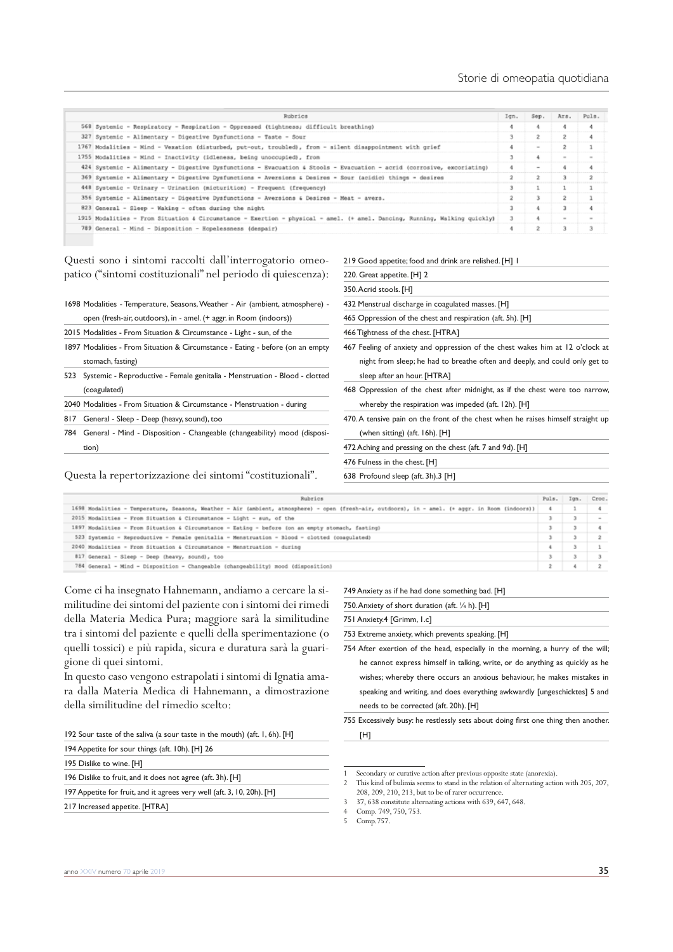| Rubrics                                                                                                                   | Ign. |                          | Sep. Ars. Puls. |        |  |
|---------------------------------------------------------------------------------------------------------------------------|------|--------------------------|-----------------|--------|--|
| 568 Systemic - Respiratory - Respiration - Oppressed (tightness; difficult breathing)                                     |      |                          |                 |        |  |
| 327 Systemic - Alimentary - Digestive Dysfunctions - Taste - Sour                                                         |      | $\mathfrak z$            | 2               |        |  |
| 1767 Modalities - Mind - Vexation (disturbed, put-out, troubled), from - silent disappointment with grief                 |      | $\sim$                   |                 |        |  |
| 1755 Modalities - Mind - Inactivity (idleness, being unoccupied), from                                                    |      | ٠                        | $\sim$          | $\sim$ |  |
| 424 Systemic - Alimentary - Digestive Dysfunctions - Evacuation & Stools - Evacuation - acrid (corrosive, excoriating)    | ÷    | $\overline{\phantom{a}}$ | a               |        |  |
| 369 Systemic - Alimentary - Digestive Dysfunctions - Aversions & Desires - Sour (acidic) things - desires                 |      |                          |                 |        |  |
| 448 Systemic - Urinary - Urination (micturition) - Frequent (frequency)                                                   | з    |                          |                 |        |  |
| 356 Systemic - Alimentary - Digestive Dysfunctions - Aversions & Desires - Meat - avers.                                  |      | з                        | 2               |        |  |
| 823 General - Sleep - Waking - often during the night                                                                     |      | ٠                        |                 |        |  |
| 1915 Modalities - From Situation & Circumstance - Exertion - physical - amel. (+ amel. Dancing, Running, Walking quickly) |      |                          |                 |        |  |
| 789 General - Mind - Disposition - Hopelessness (despair)                                                                 | 4    | 2                        |                 |        |  |

Questi sono i sintomi raccolti dall'interrogatorio omeopatico ("sintomi costituzionali" nel periodo di quiescenza):

1698 Modalities - Temperature, Seasons, Weather - Air (ambient, atmosphere) open (fresh-air, outdoors), in - amel. (+ aggr. in Room (indoors))

2015 Modalities - From Situation & Circumstance - Light - sun, of the

1897 Modalities - From Situation & Circumstance - Eating - before (on an empty stomach, fasting)

523 Systemic - Reproductive - Female genitalia - Menstruation - Blood - clotted (coagulated)

2040 Modalities - From Situation & Circumstance - Menstruation - during

817 General - Sleep - Deep (heavy, sound), too

784 General - Mind - Disposition - Changeable (changeability) mood (disposition)

Questa la repertorizzazione dei sintomi "costituzionali".

#### 219 Good appetite; food and drink are relished. [H] 1

220. Great appetite. [H] 2

350. Acrid stools. [H]

432 Menstrual discharge in coagulated masses. [H]

465 Oppression of the chest and respiration (aft. 5h). [H]

466 Tightness of the chest. [HTRA]

- 467 Feeling of anxiety and oppression of the chest wakes him at 12 o'clock at night from sleep; he had to breathe often and deeply, and could only get to sleep after an hour. [HTRA]
- 468 Oppression of the chest after midnight, as if the chest were too narrow, whereby the respiration was impeded (aft. 12h). [H]

470. A tensive pain on the front of the chest when he raises himself straight up (when sitting) (aft. 16h). [H]

472 Aching and pressing on the chest (aft. 7 and 9d). [H]

476 Fulness in the chest. [H]

638 Profound sleep (aft. 3h).3 [H]

| Rubrics                                                                                                                                          | Puls, Ign. | Croc.  |
|--------------------------------------------------------------------------------------------------------------------------------------------------|------------|--------|
| 1698 Modalities - Temperature, Seasons, Weather - Air (ambient, atmosphere) - open (fresh-air, outdoors), in - amel. (* aggr. in Room (indoors)) |            |        |
| 2015 Modalities - From Situation & Circumstance - Light - sun, of the                                                                            |            | $\sim$ |
| 1897 Modalities - From Situation & Circumstance - Eating - before (on an empty stomach, fasting)                                                 |            |        |
| 523 Systemic - Reproductive - Female genitalia - Menstruation - Blood - clotted (coagulated)                                                     |            |        |
| 2040 Modalities - From Situation & Circumstance - Menstruation - during                                                                          |            |        |
| 817 General - Sleep - Deep (heavy, sound), too                                                                                                   |            |        |
| 784 General - Mind - Disposition - Changeable (changeability) mood (disposition)                                                                 |            |        |

Come ci ha insegnato Hahnemann, andiamo a cercare la similitudine dei sintomi del paziente con i sintomi dei rimedi della Materia Medica Pura; maggiore sarà la similitudine tra i sintomi del paziente e quelli della sperimentazione (o quelli tossici) e più rapida, sicura e duratura sarà la guarigione di quei sintomi.

In questo caso vengono estrapolati i sintomi di Ignatia amara dalla Materia Medica di Hahnemann, a dimostrazione della similitudine del rimedio scelto:

| 192 Sour taste of the saliva (a sour taste in the mouth) (aft. 1, 6h). [H] |  |
|----------------------------------------------------------------------------|--|
|----------------------------------------------------------------------------|--|

194 Appetite for sour things (aft. 10h). [H] 26

195 Dislike to wine. [H]

196 Dislike to fruit, and it does not agree (aft. 3h). [H]

197 Appetite for fruit, and it agrees very well (aft. 3, 10, 20h). [H]

217 Increased appetite. [HTRA]

749 Anxiety as if he had done something bad. [H]

| 750. Anxiety of short duration (aft. 1/4 h). [H] |  |
|--------------------------------------------------|--|
|                                                  |  |

751 Anxiety.4 [Grimm, 1.c]

753 Extreme anxiety, which prevents speaking. [H]

754 After exertion of the head, especially in the morning, a hurry of the will; he cannot express himself in talking, write, or do anything as quickly as he wishes; whereby there occurs an anxious behaviour, he makes mistakes in speaking and writing, and does everything awkwardly [ungeschicktes] 5 and needs to be corrected (aft. 20h). [H]

755 Excessively busy: he restlessly sets about doing frst one thing then another. [H]

Comp. 749, 750, 753.

5 Comp.757.

Secondary or curative action after previous opposite state (anorexia).

<sup>2</sup> This kind of bulimia seems to stand in the relation of alternating action with 205, 207, 208, 209, 210, 213, but to be of rarer occurrence.

<sup>3</sup> 37, 638 constitute alternating actions with 639, 647, 648.